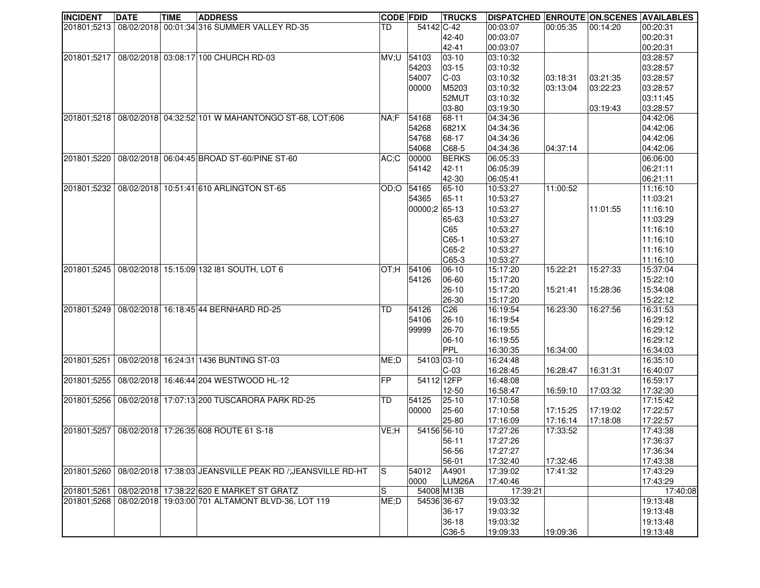| <b>INCIDENT</b> | <b>DATE</b> | <b>TIME</b> | <b>ADDRESS</b>                                            | <b>CODE FDID</b> |               | <b>TRUCKS</b> | <b>DISPATCHED ENROUTE ON SCENES AVAILABLES</b> |          |          |                      |
|-----------------|-------------|-------------|-----------------------------------------------------------|------------------|---------------|---------------|------------------------------------------------|----------|----------|----------------------|
| 201801;5213     |             |             | 08/02/2018 00:01:34 316 SUMMER VALLEY RD-35               | TD               | 54142 C-42    |               | 00:03:07                                       | 00:05:35 | 00:14:20 | 00:20:31             |
|                 |             |             |                                                           |                  |               | 42-40         | 00:03:07                                       |          |          | 00:20:31             |
|                 |             |             |                                                           |                  |               | 42-41         | 00:03:07                                       |          |          | 00:20:31             |
| 201801;5217     |             |             | 08/02/2018 03:08:17 100 CHURCH RD-03                      | MV;U             | 54103         | $ 03 - 10 $   | 03:10:32                                       |          |          | 03:28:57             |
|                 |             |             |                                                           |                  | 54203         | $ 03 - 15 $   | 03:10:32                                       |          |          | 03:28:57             |
|                 |             |             |                                                           |                  | 54007         | $C-03$        | 03:10:32                                       | 03:18:31 | 03:21:35 | 03:28:57             |
|                 |             |             |                                                           |                  | 00000         | M5203         | 03:10:32                                       | 03:13:04 | 03:22:23 | 03:28:57             |
|                 |             |             |                                                           |                  |               | 52MUT         | 03:10:32                                       |          |          | 03:11:45             |
|                 |             |             |                                                           |                  |               | 03-80         | 03:19:30                                       |          | 03:19:43 | 03:28:57             |
| 201801;5218     |             |             | 08/02/2018 04:32:52 101 W MAHANTONGO ST-68, LOT;606       | NA;F             | 54168         | 68-11         | 04:34:36                                       |          |          | 04:42:06             |
|                 |             |             |                                                           |                  | 54268         | 6821X         | 04:34:36                                       |          |          | 04:42:06             |
|                 |             |             |                                                           |                  | 54768         | 68-17         | 04:34:36                                       |          |          | 04:42:06             |
|                 |             |             |                                                           |                  | 54068         | $ C68-5 $     | 04:34:36                                       | 04:37:14 |          | 04:42:06             |
| 201801;5220     |             |             | 08/02/2018 06:04:45 BROAD ST-60/PINE ST-60                | AC;C             | 00000         | <b>BERKS</b>  | 06:05:33                                       |          |          | 06:06:00             |
|                 |             |             |                                                           |                  | 54142         | 42-11         | 06:05:39                                       |          |          | 06:21:11             |
|                 |             |             |                                                           |                  |               | 42-30         | 06:05:41                                       |          |          | 06:21:11             |
| 201801;5232     |             |             | 08/02/2018 10:51:41 610 ARLINGTON ST-65                   | OD;O             | 54165         | 65-10         | 10:53:27                                       | 11:00:52 |          | 11:16:10             |
|                 |             |             |                                                           |                  | 54365         | 65-11         | 10:53:27                                       |          |          | 11:03:21             |
|                 |             |             |                                                           |                  | 00000;2 65-13 |               | 10:53:27                                       |          | 11:01:55 | 11:16:10             |
|                 |             |             |                                                           |                  |               | 65-63         | 10:53:27                                       |          |          | 11:03:29             |
|                 |             |             |                                                           |                  |               | C65           | 10:53:27                                       |          |          | 11:16:10             |
|                 |             |             |                                                           |                  |               | $CG5-1$       | 10:53:27                                       |          |          | 11:16:10             |
|                 |             |             |                                                           |                  |               | $C65-2$       | 10:53:27                                       |          |          | 11:16:10             |
|                 |             |             |                                                           |                  |               | $C65-3$       | 10:53:27                                       |          |          | 11:16:10             |
| 201801:5245     |             |             | 08/02/2018 15:15:09 132 181 SOUTH, LOT 6                  | OT;H             | 54106         | 06-10         | 15:17:20                                       | 15:22:21 | 15:27:33 | 15:37:04             |
|                 |             |             |                                                           |                  | 54126         | 06-60         |                                                |          |          | 15:22:10             |
|                 |             |             |                                                           |                  |               |               | 15:17:20                                       |          |          |                      |
|                 |             |             |                                                           |                  |               | 26-10         | 15:17:20                                       | 15:21:41 | 15:28:36 | 15:34:08<br>15:22:12 |
|                 |             |             |                                                           |                  | 54126         | 26-30         | 15:17:20                                       |          |          |                      |
| 201801;5249     |             |             | 08/02/2018 16:18:45 44 BERNHARD RD-25                     | TD               |               | C26           | 16:19:54                                       | 16:23:30 | 16:27:56 | 16:31:53             |
|                 |             |             |                                                           |                  | 54106         | 26-10         | 16:19:54                                       |          |          | 16:29:12             |
|                 |             |             |                                                           |                  | 99999         | 26-70         | 16:19:55                                       |          |          | 16:29:12             |
|                 |             |             |                                                           |                  |               | 06-10         | 16:19:55                                       |          |          | 16:29:12             |
|                 |             |             |                                                           |                  |               | PPL           | 16:30:35                                       | 16:34:00 |          | 16:34:03             |
| 201801;5251     |             |             | 08/02/2018 16:24:31 1436 BUNTING ST-03                    | ME;D             | 54103 03-10   |               | 16:24:48                                       |          |          | 16:35:10             |
|                 |             |             |                                                           |                  |               | $C-03$        | 16:28:45                                       | 16:28:47 | 16:31:31 | 16:40:07             |
| 201801;5255     |             |             | 08/02/2018 16:46:44 204 WESTWOOD HL-12                    | <b>FP</b>        | 54112 12FP    |               | 16:48:08                                       |          |          | 16:59:17             |
|                 |             |             |                                                           |                  |               | 12-50         | 16:58:47                                       | 16:59:10 | 17:03:32 | 17:32:30             |
| 201801:5256     |             |             | 08/02/2018 17:07:13 200 TUSCARORA PARK RD-25              | TD               | 54125         | 25-10         | 17:10:58                                       |          |          | 17:15:42             |
|                 |             |             |                                                           |                  | 00000         | 25-60         | 17:10:58                                       | 17:15:25 | 17:19:02 | 17:22:57             |
|                 |             |             |                                                           |                  |               | 25-80         | 17:16:09                                       | 17:16:14 | 17:18:08 | 17:22:57             |
| 201801;5257     |             |             | 08/02/2018 17:26:35 608 ROUTE 61 S-18                     | VE;H             | 54156 56-10   |               | 17:27:26                                       | 17:33:52 |          | 17:43:38             |
|                 |             |             |                                                           |                  |               | $56-11$       | 17:27:26                                       |          |          | 17:36:37             |
|                 |             |             |                                                           |                  |               | 56-56         | 17:27:27                                       |          |          | 17:36:34             |
|                 |             |             |                                                           |                  |               | 56-01         | 17:32:40                                       | 17:32:46 |          | 17:43:38             |
| 201801;5260     |             |             | 08/02/2018 17:38:03 JEANSVILLE PEAK RD / JEANSVILLE RD-HT | S                | 54012         | A4901         | 17:39:02                                       | 17:41:32 |          | 17:43:29             |
|                 |             |             |                                                           |                  | 0000          | LUM26A        | 17:40:46                                       |          |          | 17:43:29             |
| 201801;5261     |             |             | 08/02/2018 17:38:22 620 E MARKET ST GRATZ                 | S                |               | 54008 M13B    | 17:39:21                                       |          |          | 17:40:08             |
| 201801;5268     |             |             | 08/02/2018 19:03:00 701 ALTAMONT BLVD-36, LOT 119         | ME;D             |               | 54536 36-67   | 19:03:32                                       |          |          | 19:13:48             |
|                 |             |             |                                                           |                  |               | 36-17         | 19:03:32                                       |          |          | 19:13:48             |
|                 |             |             |                                                           |                  |               | 36-18         | 19:03:32                                       |          |          | 19:13:48             |
|                 |             |             |                                                           |                  |               | $C36-5$       | 19:09:33                                       | 19:09:36 |          | 19:13:48             |